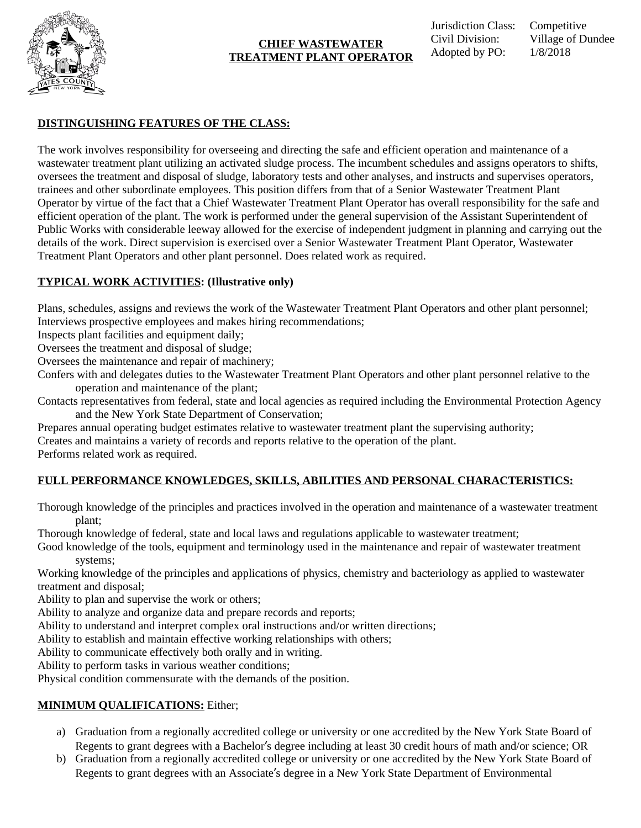

#### **CHIEF WASTEWATER TREATMENT PLANT OPERATOR**

### **DISTINGUISHING FEATURES OF THE CLASS:**

The work involves responsibility for overseeing and directing the safe and efficient operation and maintenance of a wastewater treatment plant utilizing an activated sludge process. The incumbent schedules and assigns operators to shifts, oversees the treatment and disposal of sludge, laboratory tests and other analyses, and instructs and supervises operators, trainees and other subordinate employees. This position differs from that of a Senior Wastewater Treatment Plant Operator by virtue of the fact that a Chief Wastewater Treatment Plant Operator has overall responsibility for the safe and efficient operation of the plant. The work is performed under the general supervision of the Assistant Superintendent of Public Works with considerable leeway allowed for the exercise of independent judgment in planning and carrying out the details of the work. Direct supervision is exercised over a Senior Wastewater Treatment Plant Operator, Wastewater Treatment Plant Operators and other plant personnel. Does related work as required.

## **TYPICAL WORK ACTIVITIES: (Illustrative only)**

Plans, schedules, assigns and reviews the work of the Wastewater Treatment Plant Operators and other plant personnel; Interviews prospective employees and makes hiring recommendations;

Inspects plant facilities and equipment daily;

Oversees the treatment and disposal of sludge;

Oversees the maintenance and repair of machinery;

Confers with and delegates duties to the Wastewater Treatment Plant Operators and other plant personnel relative to the operation and maintenance of the plant;

Contacts representatives from federal, state and local agencies as required including the Environmental Protection Agency and the New York State Department of Conservation;

Prepares annual operating budget estimates relative to wastewater treatment plant the supervising authority;

Creates and maintains a variety of records and reports relative to the operation of the plant.

Performs related work as required.

# **FULL PERFORMANCE KNOWLEDGES, SKILLS, ABILITIES AND PERSONAL CHARACTERISTICS:**

Thorough knowledge of the principles and practices involved in the operation and maintenance of a wastewater treatment plant;

Thorough knowledge of federal, state and local laws and regulations applicable to wastewater treatment;

Good knowledge of the tools, equipment and terminology used in the maintenance and repair of wastewater treatment systems;

Working knowledge of the principles and applications of physics, chemistry and bacteriology as applied to wastewater treatment and disposal;

Ability to plan and supervise the work or others;

Ability to analyze and organize data and prepare records and reports;

Ability to understand and interpret complex oral instructions and/or written directions;

Ability to establish and maintain effective working relationships with others;

Ability to communicate effectively both orally and in writing.

Ability to perform tasks in various weather conditions;

Physical condition commensurate with the demands of the position.

# **MINIMUM QUALIFICATIONS:** Either;

- a) Graduation from a regionally accredited college or university or one accredited by the New York State Board of Regents to grant degrees with a Bachelor's degree including at least 30 credit hours of math and/or science; OR
- b) Graduation from a regionally accredited college or university or one accredited by the New York State Board of Regents to grant degrees with an Associate's degree in a New York State Department of Environmental